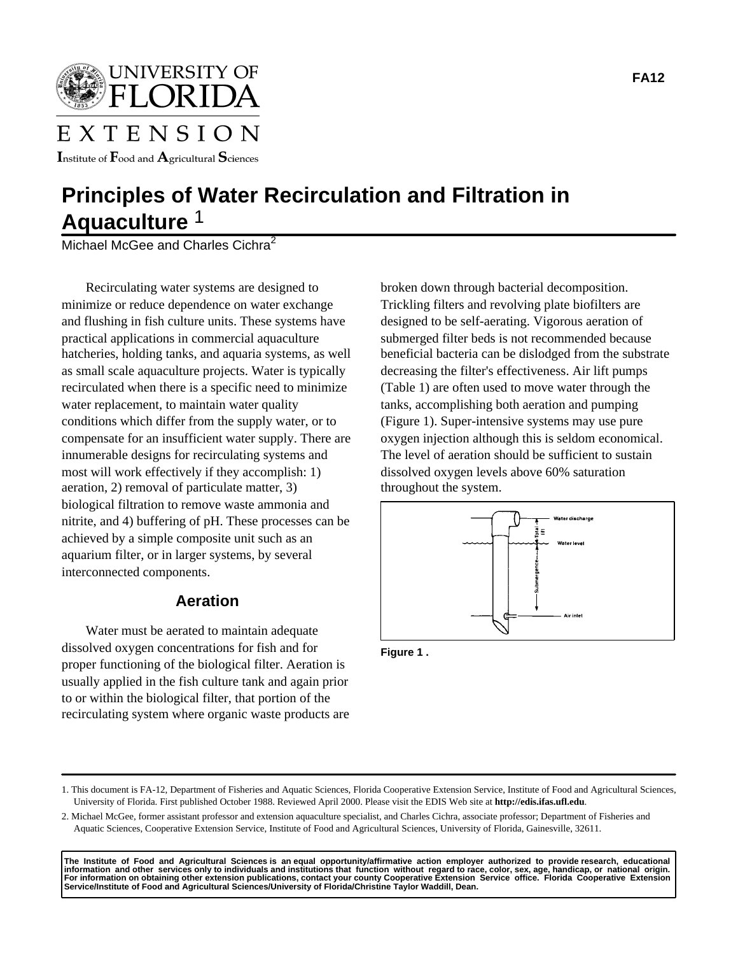UNIVERSITY OF

# EXTENSION

Institute of  $\mathbf F$ ood and  $\mathbf A$ gricultural  $\mathbf S$ ciences

# **Principles of Water Recirculation and Filtration in Aquaculture** 1

Michael McGee and Charles Cichra $^2$ 

Recirculating water systems are designed to minimize or reduce dependence on water exchange and flushing in fish culture units. These systems have practical applications in commercial aquaculture hatcheries, holding tanks, and aquaria systems, as well as small scale aquaculture projects. Water is typically recirculated when there is a specific need to minimize water replacement, to maintain water quality conditions which differ from the supply water, or to compensate for an insufficient water supply. There are innumerable designs for recirculating systems and most will work effectively if they accomplish: 1) aeration, 2) removal of particulate matter, 3) biological filtration to remove waste ammonia and nitrite, and 4) buffering of pH. These processes can be achieved by a simple composite unit such as an aquarium filter, or in larger systems, by several interconnected components.

# **Aeration**

Water must be aerated to maintain adequate dissolved oxygen concentrations for fish and for proper functioning of the biological filter. Aeration is usually applied in the fish culture tank and again prior to or within the biological filter, that portion of the recirculating system where organic waste products are broken down through bacterial decomposition. Trickling filters and revolving plate biofilters are designed to be self-aerating. Vigorous aeration of submerged filter beds is not recommended because beneficial bacteria can be dislodged from the substrate decreasing the filter's effectiveness. Air lift pumps (Table 1) are often used to move water through the tanks, accomplishing both aeration and pumping (Figure 1). Super-intensive systems may use pure oxygen injection although this is seldom economical. The level of aeration should be sufficient to sustain dissolved oxygen levels above 60% saturation throughout the system.



**Figure 1 .** 

<sup>1.</sup> This document is FA-12, Department of Fisheries and Aquatic Sciences, Florida Cooperative Extension Service, Institute of Food and Agricultural Sciences, University of Florida. First published October 1988. Reviewed April 2000. Please visit the EDIS Web site at **http://edis.ifas.ufl.edu**.

<sup>2.</sup> Michael McGee, former assistant professor and extension aquaculture specialist, and Charles Cichra, associate professor; Department of Fisheries and Aquatic Sciences, Cooperative Extension Service, Institute of Food and Agricultural Sciences, University of Florida, Gainesville, 32611.

The Institute of Food and Agricultural Sciences is anequal opportunity/affirmative action employer authorized to provideresearch, educational<br>information and other services only to individuals and institutions that functio **Service/Institute of Food and Agricultural Sciences/University of Florida/Christine Taylor Waddill, Dean.**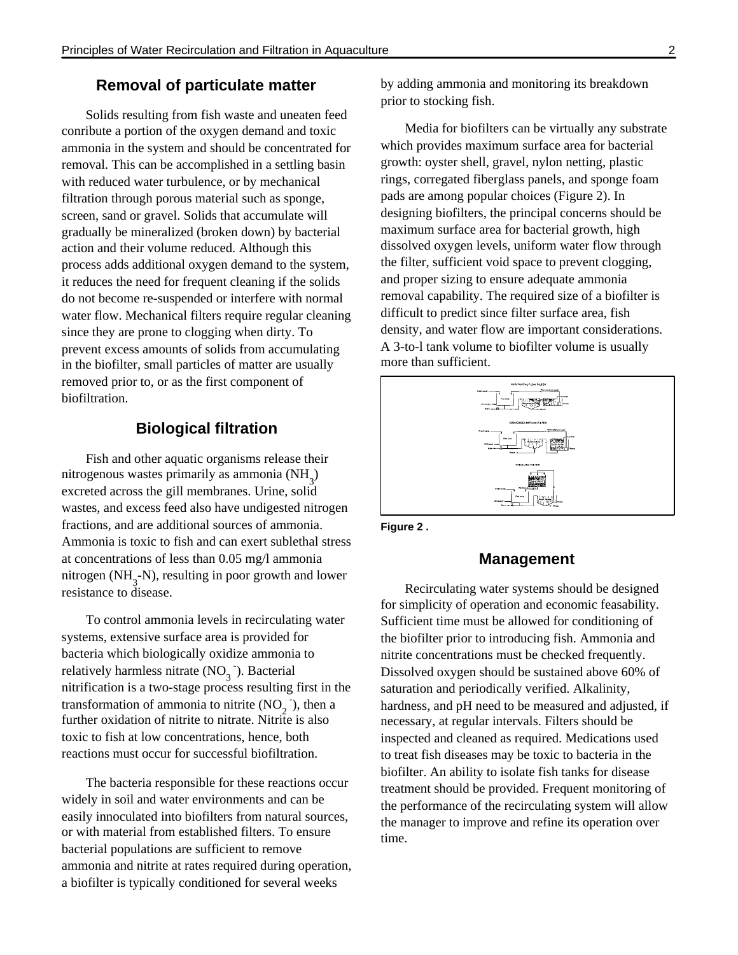### **Removal of particulate matter**

Solids resulting from fish waste and uneaten feed conribute a portion of the oxygen demand and toxic ammonia in the system and should be concentrated for removal. This can be accomplished in a settling basin with reduced water turbulence, or by mechanical filtration through porous material such as sponge, screen, sand or gravel. Solids that accumulate will gradually be mineralized (broken down) by bacterial action and their volume reduced. Although this process adds additional oxygen demand to the system, it reduces the need for frequent cleaning if the solids do not become re-suspended or interfere with normal water flow. Mechanical filters require regular cleaning since they are prone to clogging when dirty. To prevent excess amounts of solids from accumulating in the biofilter, small particles of matter are usually removed prior to, or as the first component of biofiltration.

## **Biological filtration**

Fish and other aquatic organisms release their nitrogenous wastes primarily as ammonia  $(NH_3)$ excreted across the gill membranes. Urine, solid wastes, and excess feed also have undigested nitrogen fractions, and are additional sources of ammonia. Ammonia is toxic to fish and can exert sublethal stress at concentrations of less than 0.05 mg/l ammonia nitrogen (NH<sub>3</sub>-N), resulting in poor growth and lower resistance to disease.

To control ammonia levels in recirculating water systems, extensive surface area is provided for bacteria which biologically oxidize ammonia to relatively harmless nitrate  $(NO<sub>3</sub>$ <sup>-</sup>). Bacterial nitrification is a two-stage process resulting first in the transformation of ammonia to nitrite  $(NO<sub>2</sub>)$ , then a further oxidation of nitrite to nitrate. Nitrite is also toxic to fish at low concentrations, hence, both reactions must occur for successful biofiltration.

The bacteria responsible for these reactions occur widely in soil and water environments and can be easily innoculated into biofilters from natural sources, or with material from established filters. To ensure bacterial populations are sufficient to remove ammonia and nitrite at rates required during operation, a biofilter is typically conditioned for several weeks

by adding ammonia and monitoring its breakdown prior to stocking fish.

Media for biofilters can be virtually any substrate which provides maximum surface area for bacterial growth: oyster shell, gravel, nylon netting, plastic rings, corregated fiberglass panels, and sponge foam pads are among popular choices (Figure 2). In designing biofilters, the principal concerns should be maximum surface area for bacterial growth, high dissolved oxygen levels, uniform water flow through the filter, sufficient void space to prevent clogging, and proper sizing to ensure adequate ammonia removal capability. The required size of a biofilter is difficult to predict since filter surface area, fish density, and water flow are important considerations. A 3-to-l tank volume to biofilter volume is usually more than sufficient.



**Figure 2 .** 

### **Management**

Recirculating water systems should be designed for simplicity of operation and economic feasability. Sufficient time must be allowed for conditioning of the biofilter prior to introducing fish. Ammonia and nitrite concentrations must be checked frequently. Dissolved oxygen should be sustained above 60% of saturation and periodically verified. Alkalinity, hardness, and pH need to be measured and adjusted, if necessary, at regular intervals. Filters should be inspected and cleaned as required. Medications used to treat fish diseases may be toxic to bacteria in the biofilter. An ability to isolate fish tanks for disease treatment should be provided. Frequent monitoring of the performance of the recirculating system will allow the manager to improve and refine its operation over time.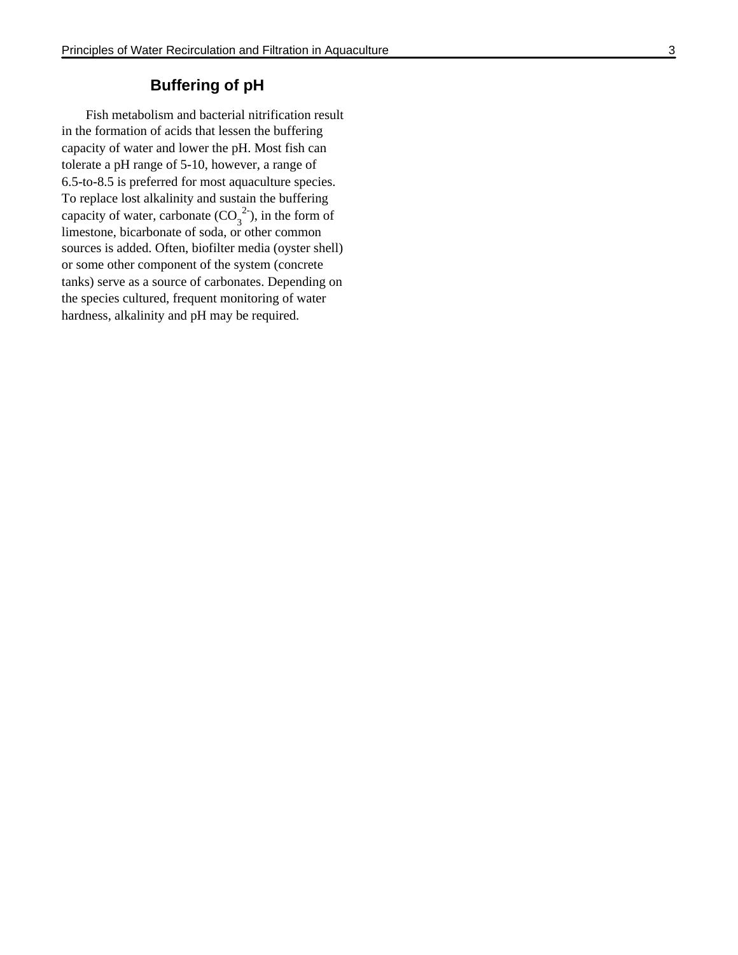# **Buffering of pH**

Fish metabolism and bacterial nitrification result in the formation of acids that lessen the buffering capacity of water and lower the pH. Most fish can tolerate a pH range of 5-10, however, a range of 6.5-to-8.5 is preferred for most aquaculture species. To replace lost alkalinity and sustain the buffering capacity of water, carbonate  $(CO_3^2)$ , in the form of limestone, bicarbonate of soda, or other common sources is added. Often, biofilter media (oyster shell) or some other component of the system (concrete tanks) serve as a source of carbonates. Depending on the species cultured, frequent monitoring of water hardness, alkalinity and pH may be required.